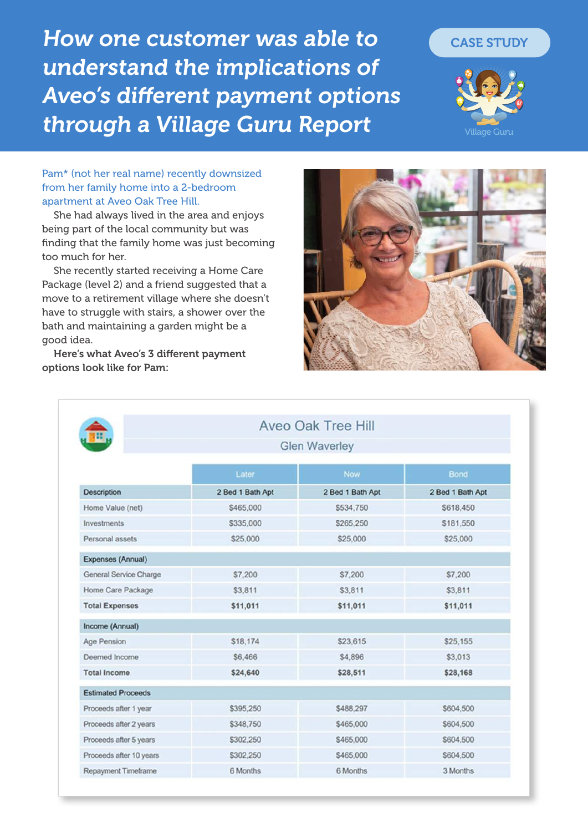How one customer was able to CASE STUDY understand the implications of Aveo's different payment options through a Village Guru Report



Village Guru

Pam\* (not her real name) recently downsized from her family home into a 2-bedroom apartment at Aveo Oak Tree Hill.

She had always lived in the area and enjoys being part of the local community but was finding that the family home was just becoming too much for her.

She recently started receiving a Home Care Package (level 2) and a friend suggested that a move to a retirement village where she doesn't have to struggle with stairs, a shower over the bath and maintaining a garden might be a good idea.

Here's what Aveo's 3 different payment options look like for Pam:



|                           | <b>Glen Waverley</b> |                  |                  |
|---------------------------|----------------------|------------------|------------------|
|                           | Later                | Now.             | Bond             |
| Description               | 2 Bed 1 Bath Apt     | 2 Bed 1 Bath Apt | 2 Bed 1 Bath Apt |
| Home Value (net)          | \$465,000            | \$534,750        | \$618,450        |
| Investments               | \$335,000            | \$265,250        | \$181,550        |
| Personal assets           | \$25,000             | \$25,000         | \$25,000         |
| Expenses (Annual)         |                      |                  |                  |
| General Service Charge    | \$7,200              | \$7,200          | \$7,200          |
| Home Care Package         | \$3,811              | \$3,811          | \$3,811          |
| <b>Total Expenses</b>     | \$11,011             | \$11,011         | \$11,011         |
| Income (Annual)           |                      |                  |                  |
| Age Pension               | \$18,174             | \$23,615         | \$25,155         |
| Deemed Income             | \$6,466              | \$4,896          | \$3,013          |
| <b>Total Income</b>       | \$24,640             | \$28,511         | \$28,168         |
| <b>Estimated Proceeds</b> |                      |                  |                  |
| Proceeds after 1 year     | \$395,250            | \$488,297        | \$604,500        |
| Proceeds after 2 years    | \$348,750            | \$465,000        | \$604,500        |
| Proceeds after 5 years    | \$302.250            | \$465,000        | \$604,500        |
| Proceeds after 10 years   | \$302,250            | \$465,000        | \$604,500        |
| Repayment Timeframe       | 6 Months             | 6 Months         | 3 Months         |